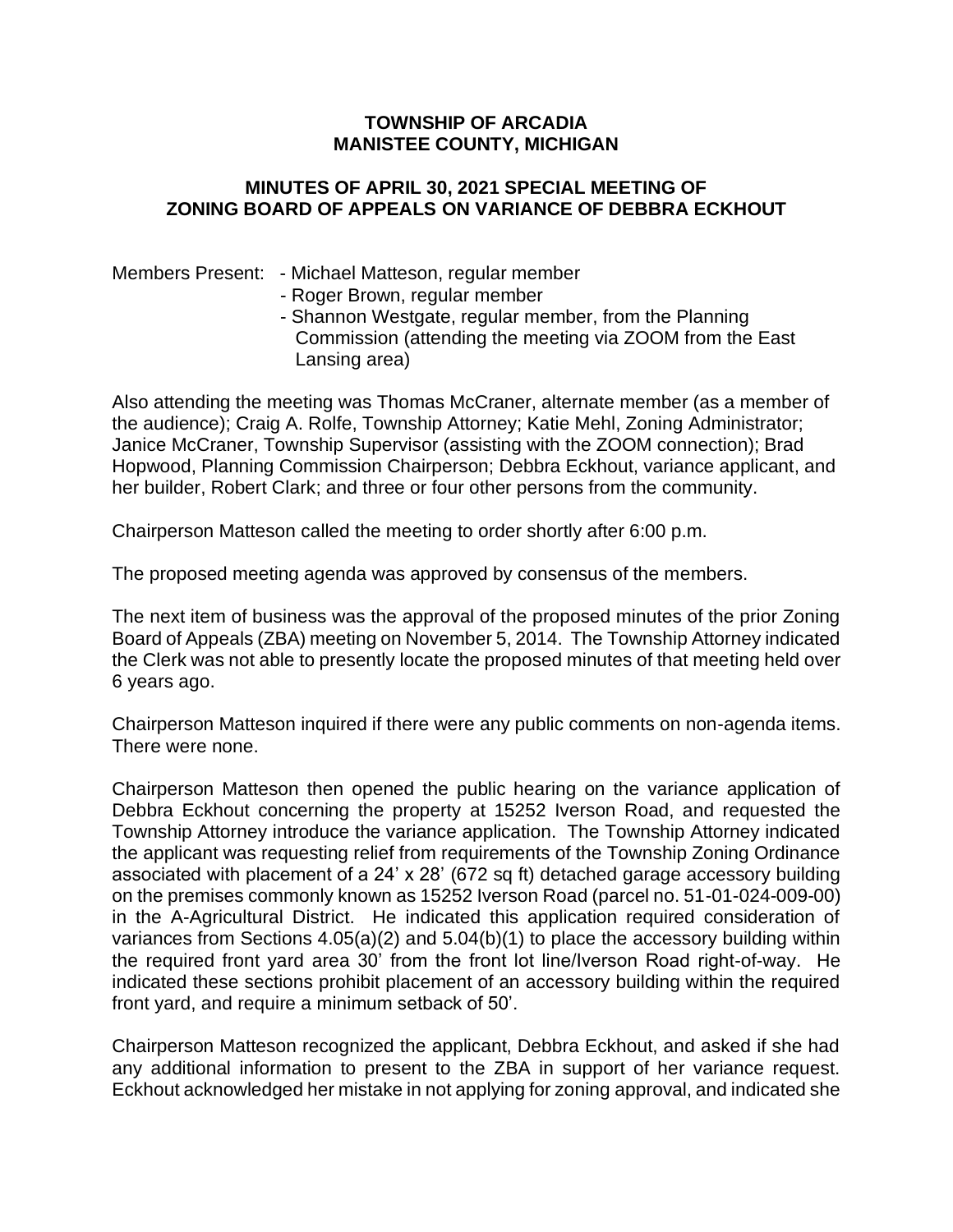## **TOWNSHIP OF ARCADIA MANISTEE COUNTY, MICHIGAN**

## **MINUTES OF APRIL 30, 2021 SPECIAL MEETING OF ZONING BOARD OF APPEALS ON VARIANCE OF DEBBRA ECKHOUT**

## Members Present: - Michael Matteson, regular member

- Roger Brown, regular member
- Shannon Westgate, regular member, from the Planning Commission (attending the meeting via ZOOM from the East Lansing area)

Also attending the meeting was Thomas McCraner, alternate member (as a member of the audience); Craig A. Rolfe, Township Attorney; Katie Mehl, Zoning Administrator; Janice McCraner, Township Supervisor (assisting with the ZOOM connection); Brad Hopwood, Planning Commission Chairperson; Debbra Eckhout, variance applicant, and her builder, Robert Clark; and three or four other persons from the community.

Chairperson Matteson called the meeting to order shortly after 6:00 p.m.

The proposed meeting agenda was approved by consensus of the members.

The next item of business was the approval of the proposed minutes of the prior Zoning Board of Appeals (ZBA) meeting on November 5, 2014. The Township Attorney indicated the Clerk was not able to presently locate the proposed minutes of that meeting held over 6 years ago.

Chairperson Matteson inquired if there were any public comments on non-agenda items. There were none.

Chairperson Matteson then opened the public hearing on the variance application of Debbra Eckhout concerning the property at 15252 Iverson Road, and requested the Township Attorney introduce the variance application. The Township Attorney indicated the applicant was requesting relief from requirements of the Township Zoning Ordinance associated with placement of a 24' x 28' (672 sq ft) detached garage accessory building on the premises commonly known as 15252 Iverson Road (parcel no. 51-01-024-009-00) in the A-Agricultural District. He indicated this application required consideration of variances from Sections 4.05(a)(2) and 5.04(b)(1) to place the accessory building within the required front yard area 30' from the front lot line/Iverson Road right-of-way. He indicated these sections prohibit placement of an accessory building within the required front yard, and require a minimum setback of 50'.

Chairperson Matteson recognized the applicant, Debbra Eckhout, and asked if she had any additional information to present to the ZBA in support of her variance request. Eckhout acknowledged her mistake in not applying for zoning approval, and indicated she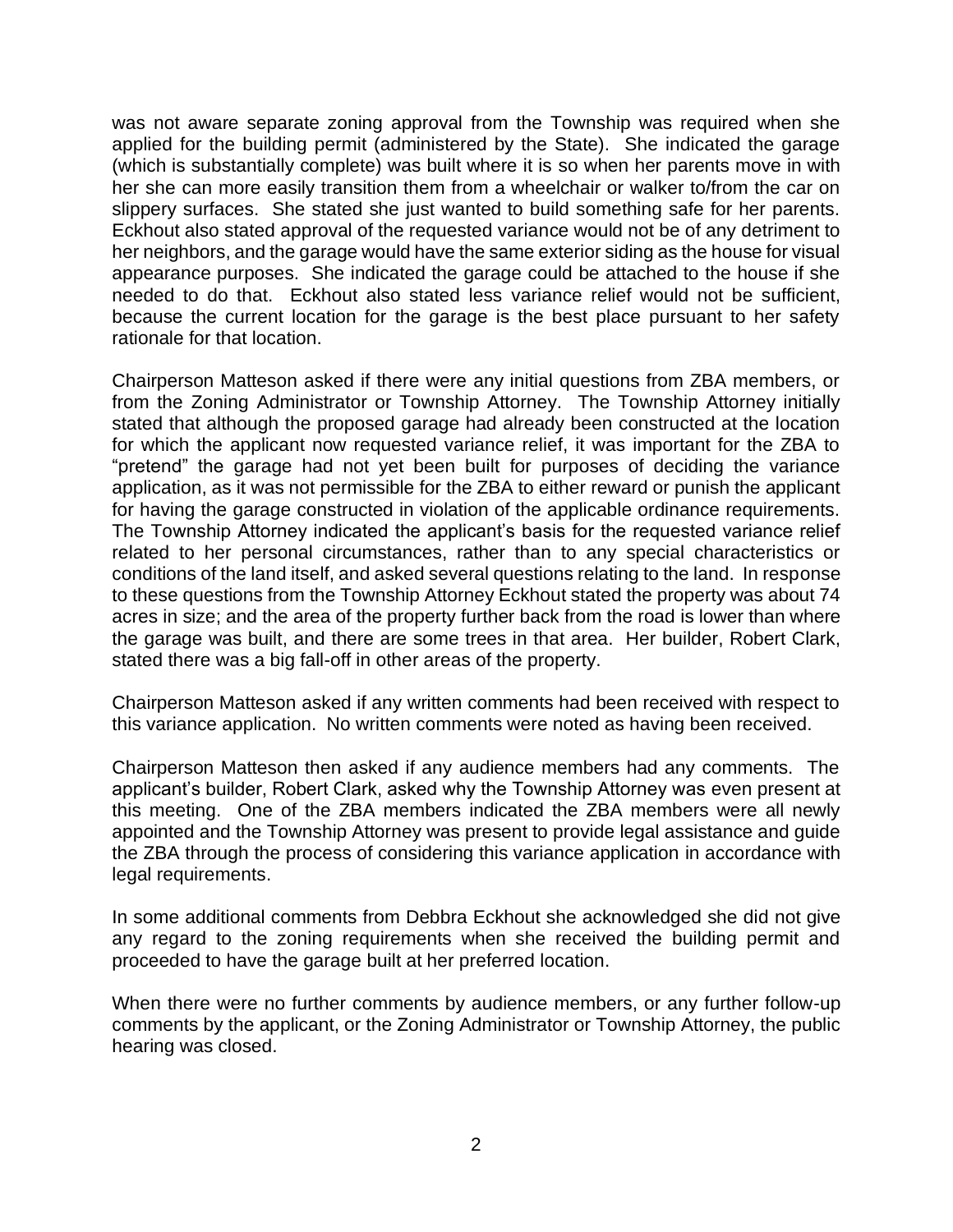was not aware separate zoning approval from the Township was required when she applied for the building permit (administered by the State). She indicated the garage (which is substantially complete) was built where it is so when her parents move in with her she can more easily transition them from a wheelchair or walker to/from the car on slippery surfaces. She stated she just wanted to build something safe for her parents. Eckhout also stated approval of the requested variance would not be of any detriment to her neighbors, and the garage would have the same exterior siding as the house for visual appearance purposes. She indicated the garage could be attached to the house if she needed to do that. Eckhout also stated less variance relief would not be sufficient, because the current location for the garage is the best place pursuant to her safety rationale for that location.

Chairperson Matteson asked if there were any initial questions from ZBA members, or from the Zoning Administrator or Township Attorney. The Township Attorney initially stated that although the proposed garage had already been constructed at the location for which the applicant now requested variance relief, it was important for the ZBA to "pretend" the garage had not yet been built for purposes of deciding the variance application, as it was not permissible for the ZBA to either reward or punish the applicant for having the garage constructed in violation of the applicable ordinance requirements. The Township Attorney indicated the applicant's basis for the requested variance relief related to her personal circumstances, rather than to any special characteristics or conditions of the land itself, and asked several questions relating to the land. In response to these questions from the Township Attorney Eckhout stated the property was about 74 acres in size; and the area of the property further back from the road is lower than where the garage was built, and there are some trees in that area. Her builder, Robert Clark, stated there was a big fall-off in other areas of the property.

Chairperson Matteson asked if any written comments had been received with respect to this variance application. No written comments were noted as having been received.

Chairperson Matteson then asked if any audience members had any comments. The applicant's builder, Robert Clark, asked why the Township Attorney was even present at this meeting. One of the ZBA members indicated the ZBA members were all newly appointed and the Township Attorney was present to provide legal assistance and guide the ZBA through the process of considering this variance application in accordance with legal requirements.

In some additional comments from Debbra Eckhout she acknowledged she did not give any regard to the zoning requirements when she received the building permit and proceeded to have the garage built at her preferred location.

When there were no further comments by audience members, or any further follow-up comments by the applicant, or the Zoning Administrator or Township Attorney, the public hearing was closed.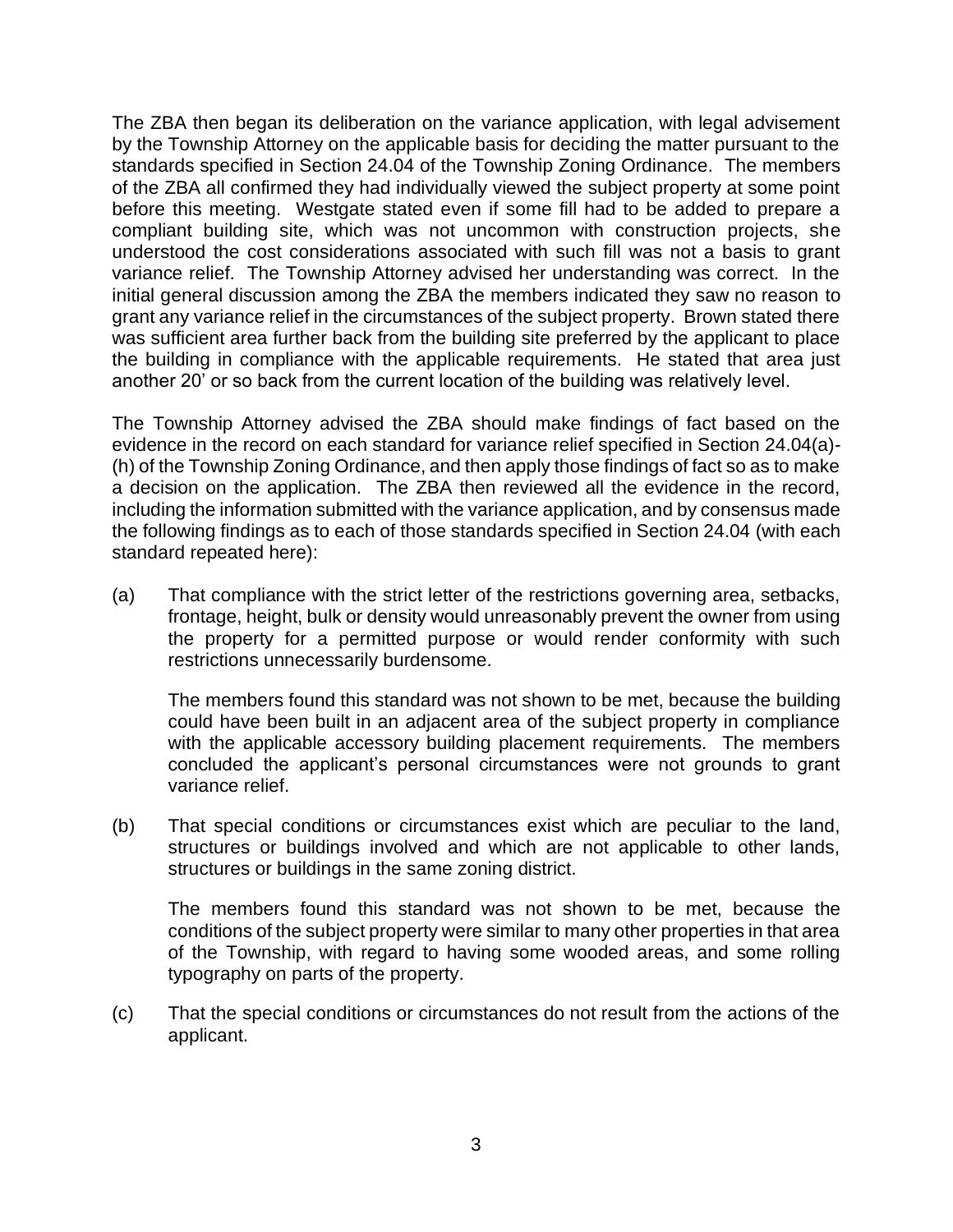The ZBA then began its deliberation on the variance application, with legal advisement by the Township Attorney on the applicable basis for deciding the matter pursuant to the standards specified in Section 24.04 of the Township Zoning Ordinance. The members of the ZBA all confirmed they had individually viewed the subject property at some point before this meeting. Westgate stated even if some fill had to be added to prepare a compliant building site, which was not uncommon with construction projects, she understood the cost considerations associated with such fill was not a basis to grant variance relief. The Township Attorney advised her understanding was correct. In the initial general discussion among the ZBA the members indicated they saw no reason to grant any variance relief in the circumstances of the subject property. Brown stated there was sufficient area further back from the building site preferred by the applicant to place the building in compliance with the applicable requirements. He stated that area just another 20' or so back from the current location of the building was relatively level.

The Township Attorney advised the ZBA should make findings of fact based on the evidence in the record on each standard for variance relief specified in Section 24.04(a)- (h) of the Township Zoning Ordinance, and then apply those findings of fact so as to make a decision on the application. The ZBA then reviewed all the evidence in the record, including the information submitted with the variance application, and by consensus made the following findings as to each of those standards specified in Section 24.04 (with each standard repeated here):

(a) That compliance with the strict letter of the restrictions governing area, setbacks, frontage, height, bulk or density would unreasonably prevent the owner from using the property for a permitted purpose or would render conformity with such restrictions unnecessarily burdensome.

The members found this standard was not shown to be met, because the building could have been built in an adjacent area of the subject property in compliance with the applicable accessory building placement requirements. The members concluded the applicant's personal circumstances were not grounds to grant variance relief.

(b) That special conditions or circumstances exist which are peculiar to the land, structures or buildings involved and which are not applicable to other lands, structures or buildings in the same zoning district.

The members found this standard was not shown to be met, because the conditions of the subject property were similar to many other properties in that area of the Township, with regard to having some wooded areas, and some rolling typography on parts of the property.

(c) That the special conditions or circumstances do not result from the actions of the applicant.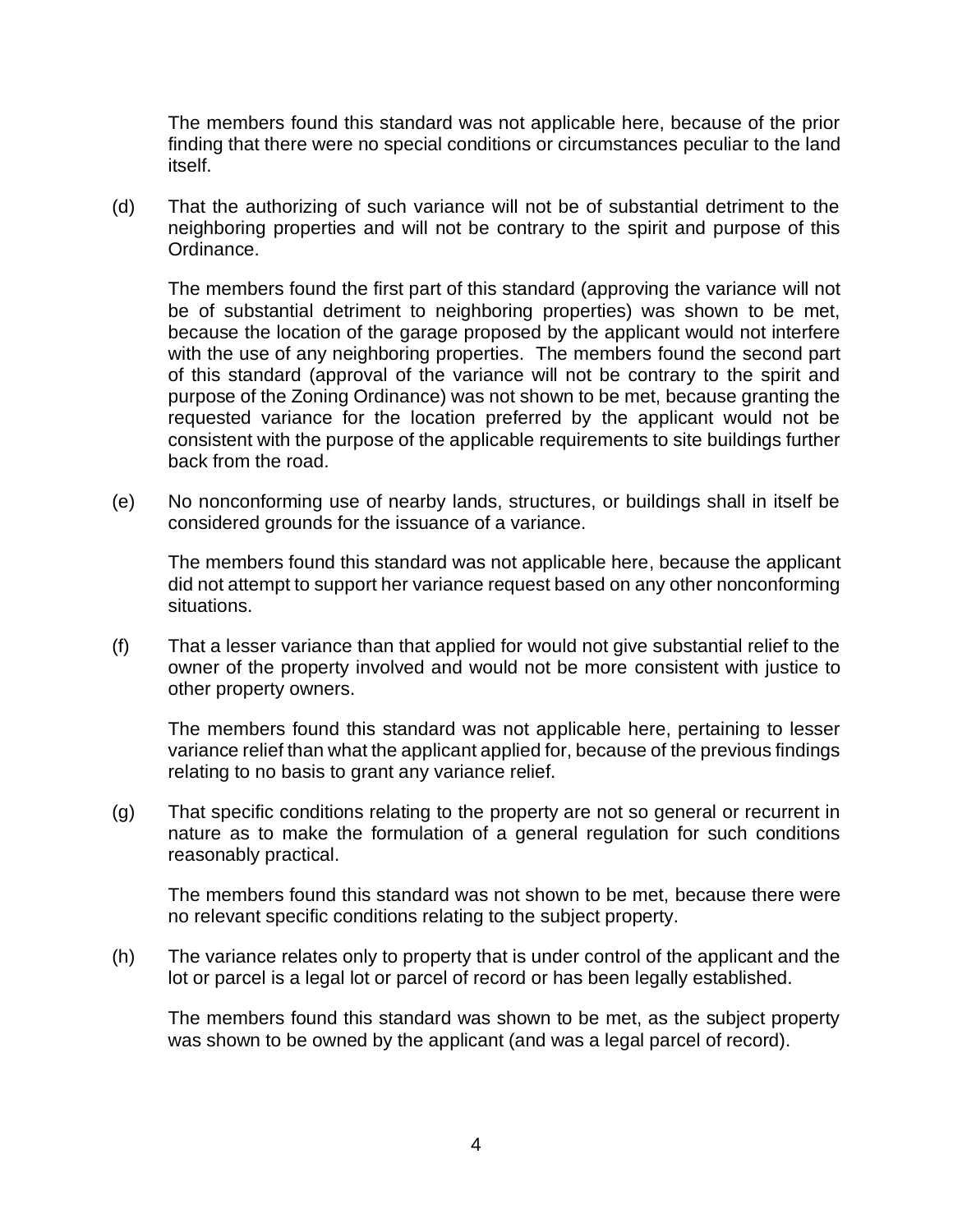The members found this standard was not applicable here, because of the prior finding that there were no special conditions or circumstances peculiar to the land itself.

(d) That the authorizing of such variance will not be of substantial detriment to the neighboring properties and will not be contrary to the spirit and purpose of this Ordinance.

The members found the first part of this standard (approving the variance will not be of substantial detriment to neighboring properties) was shown to be met, because the location of the garage proposed by the applicant would not interfere with the use of any neighboring properties. The members found the second part of this standard (approval of the variance will not be contrary to the spirit and purpose of the Zoning Ordinance) was not shown to be met, because granting the requested variance for the location preferred by the applicant would not be consistent with the purpose of the applicable requirements to site buildings further back from the road.

(e) No nonconforming use of nearby lands, structures, or buildings shall in itself be considered grounds for the issuance of a variance.

The members found this standard was not applicable here, because the applicant did not attempt to support her variance request based on any other nonconforming situations.

(f) That a lesser variance than that applied for would not give substantial relief to the owner of the property involved and would not be more consistent with justice to other property owners.

The members found this standard was not applicable here, pertaining to lesser variance relief than what the applicant applied for, because of the previous findings relating to no basis to grant any variance relief.

(g) That specific conditions relating to the property are not so general or recurrent in nature as to make the formulation of a general regulation for such conditions reasonably practical.

The members found this standard was not shown to be met, because there were no relevant specific conditions relating to the subject property.

(h) The variance relates only to property that is under control of the applicant and the lot or parcel is a legal lot or parcel of record or has been legally established.

The members found this standard was shown to be met, as the subject property was shown to be owned by the applicant (and was a legal parcel of record).